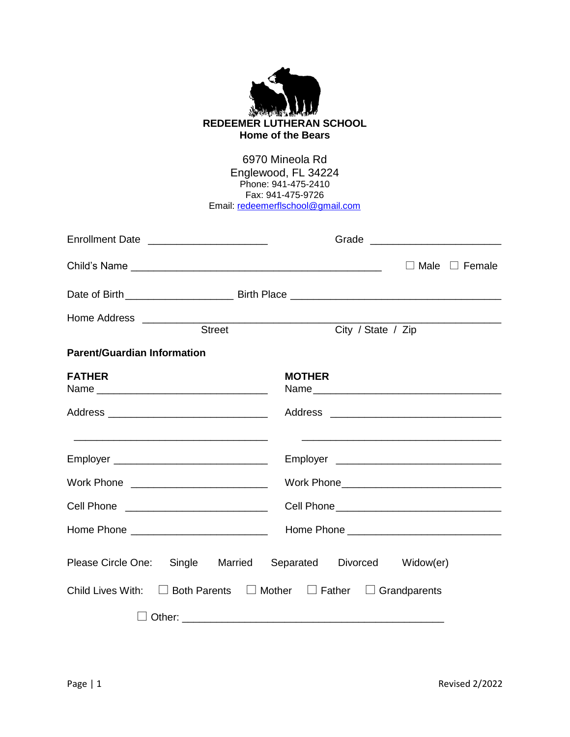| <b>REDEEMER LUTHERAN SCHOOL</b><br><b>Home of the Bears</b><br>6970 Mineola Rd<br>Englewood, FL 34224<br>Phone: 941-475-2410<br>Fax: 941-475-9726<br>Email: redeemerflschool@gmail.com |                                                                                                                        |                                             |                           |  |  |  |
|----------------------------------------------------------------------------------------------------------------------------------------------------------------------------------------|------------------------------------------------------------------------------------------------------------------------|---------------------------------------------|---------------------------|--|--|--|
|                                                                                                                                                                                        | Enrollment Date ________________________                                                                               |                                             |                           |  |  |  |
|                                                                                                                                                                                        |                                                                                                                        |                                             | $\Box$ Male $\Box$ Female |  |  |  |
|                                                                                                                                                                                        |                                                                                                                        |                                             |                           |  |  |  |
|                                                                                                                                                                                        |                                                                                                                        |                                             |                           |  |  |  |
|                                                                                                                                                                                        | Street                                                                                                                 | City / State / Zip                          |                           |  |  |  |
| <b>Parent/Guardian Information</b>                                                                                                                                                     |                                                                                                                        |                                             |                           |  |  |  |
| <b>FATHER</b>                                                                                                                                                                          |                                                                                                                        | <b>MOTHER</b>                               |                           |  |  |  |
|                                                                                                                                                                                        |                                                                                                                        |                                             |                           |  |  |  |
|                                                                                                                                                                                        |                                                                                                                        |                                             |                           |  |  |  |
|                                                                                                                                                                                        |                                                                                                                        |                                             |                           |  |  |  |
| Work Phone                                                                                                                                                                             | <u> 1999 - Johann Harry Harry Harry Harry Harry Harry Harry Harry Harry Harry Harry Harry Harry Harry Harry Harry</u>  |                                             |                           |  |  |  |
| Cell Phone                                                                                                                                                                             | <u> 1999 - Jan James James Jan James James Jan James James Jan James James Jan Jan James James Jan Jan James Jan J</u> |                                             |                           |  |  |  |
|                                                                                                                                                                                        | Home Phone ________________________________  Home Phone _________________________                                      |                                             |                           |  |  |  |
| Please Circle One:                                                                                                                                                                     |                                                                                                                        | Single Married Separated Divorced Widow(er) |                           |  |  |  |
| Child Lives With: $\Box$ Both Parents $\Box$ Mother $\Box$ Father $\Box$ Grandparents                                                                                                  |                                                                                                                        |                                             |                           |  |  |  |
|                                                                                                                                                                                        |                                                                                                                        |                                             |                           |  |  |  |